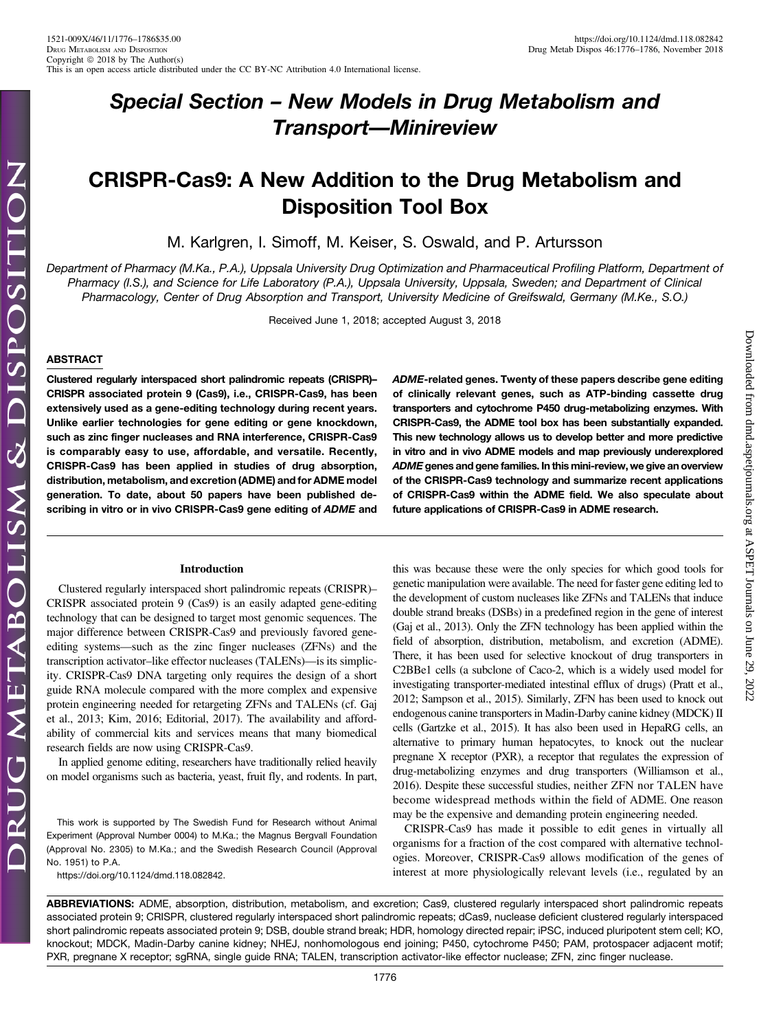# Special Section – New Models in Drug Metabolism and Transport—Minireview

## CRISPR-Cas9: A New Addition to the Drug Metabolism and Disposition Tool Box

M. Karlgren, I. Simoff, M. Keiser, S. Oswald, and P. Artursson

Department of Pharmacy (M.Ka., P.A.), Uppsala University Drug Optimization and Pharmaceutical Profiling Platform, Department of Pharmacy (I.S.), and Science for Life Laboratory (P.A.), Uppsala University, Uppsala, Sweden; and Department of Clinical Pharmacology, Center of Drug Absorption and Transport, University Medicine of Greifswald, Germany (M.Ke., S.O.)

Received June 1, 2018; accepted August 3, 2018

#### ABSTRACT

Clustered regularly interspaced short palindromic repeats (CRISPR)– CRISPR associated protein 9 (Cas9), i.e., CRISPR-Cas9, has been extensively used as a gene-editing technology during recent years. Unlike earlier technologies for gene editing or gene knockdown, such as zinc finger nucleases and RNA interference, CRISPR-Cas9 is comparably easy to use, affordable, and versatile. Recently, CRISPR-Cas9 has been applied in studies of drug absorption, distribution, metabolism, and excretion (ADME) and for ADME model generation. To date, about 50 papers have been published describing in vitro or in vivo CRISPR-Cas9 gene editing of ADME and

#### Introduction

Clustered regularly interspaced short palindromic repeats (CRISPR)– CRISPR associated protein 9 (Cas9) is an easily adapted gene-editing technology that can be designed to target most genomic sequences. The major difference between CRISPR-Cas9 and previously favored geneediting systems—such as the zinc finger nucleases (ZFNs) and the transcription activator–like effector nucleases (TALENs)—is its simplicity. CRISPR-Cas9 DNA targeting only requires the design of a short guide RNA molecule compared with the more complex and expensive protein engineering needed for retargeting ZFNs and TALENs (cf. Gaj et al., 2013; Kim, 2016; Editorial, 2017). The availability and affordability of commercial kits and services means that many biomedical research fields are now using CRISPR-Cas9.

In applied genome editing, researchers have traditionally relied heavily on model organisms such as bacteria, yeast, fruit fly, and rodents. In part,

This work is supported by The Swedish Fund for Research without Animal Experiment (Approval Number 0004) to M.Ka.; the Magnus Bergvall Foundation (Approval No. 2305) to M.Ka.; and the Swedish Research Council (Approval No. 1951) to P.A.

<https://doi.org/10.1124/dmd.118.082842>.

ADME-related genes. Twenty of these papers describe gene editing of clinically relevant genes, such as ATP-binding cassette drug transporters and cytochrome P450 drug-metabolizing enzymes. With CRISPR-Cas9, the ADME tool box has been substantially expanded. This new technology allows us to develop better and more predictive in vitro and in vivo ADME models and map previously underexplored ADME genes and gene families. In this mini-review, we give an overview of the CRISPR-Cas9 technology and summarize recent applications of CRISPR-Cas9 within the ADME field. We also speculate about future applications of CRISPR-Cas9 in ADME research.

Downloaded from [dmd.aspetjournals.org](http://dmd.aspetjournals.org/) at ASPET Journals on June 29, 2022

 $.2022$ 

Downloaded from dmd.aspetjournals.org at ASPET Journals on June 29,

this was because these were the only species for which good tools for genetic manipulation were available. The need for faster gene editing led to the development of custom nucleases like ZFNs and TALENs that induce double strand breaks (DSBs) in a predefined region in the gene of interest (Gaj et al., 2013). Only the ZFN technology has been applied within the field of absorption, distribution, metabolism, and excretion (ADME). There, it has been used for selective knockout of drug transporters in C2BBe1 cells (a subclone of Caco-2, which is a widely used model for investigating transporter-mediated intestinal efflux of drugs) (Pratt et al., 2012; Sampson et al., 2015). Similarly, ZFN has been used to knock out endogenous canine transporters in Madin-Darby canine kidney (MDCK) II cells (Gartzke et al., 2015). It has also been used in HepaRG cells, an alternative to primary human hepatocytes, to knock out the nuclear pregnane X receptor (PXR), a receptor that regulates the expression of drug-metabolizing enzymes and drug transporters (Williamson et al., 2016). Despite these successful studies, neither ZFN nor TALEN have become widespread methods within the field of ADME. One reason may be the expensive and demanding protein engineering needed.

CRISPR-Cas9 has made it possible to edit genes in virtually all organisms for a fraction of the cost compared with alternative technologies. Moreover, CRISPR-Cas9 allows modification of the genes of interest at more physiologically relevant levels (i.e., regulated by an

ABBREVIATIONS: ADME, absorption, distribution, metabolism, and excretion; Cas9, clustered regularly interspaced short palindromic repeats associated protein 9; CRISPR, clustered regularly interspaced short palindromic repeats; dCas9, nuclease deficient clustered regularly interspaced short palindromic repeats associated protein 9; DSB, double strand break; HDR, homology directed repair; iPSC, induced pluripotent stem cell; KO, knockout; MDCK, Madin-Darby canine kidney; NHEJ, nonhomologous end joining; P450, cytochrome P450; PAM, protospacer adjacent motif; PXR, pregnane X receptor; sgRNA, single guide RNA; TALEN, transcription activator-like effector nuclease; ZFN, zinc finger nuclease.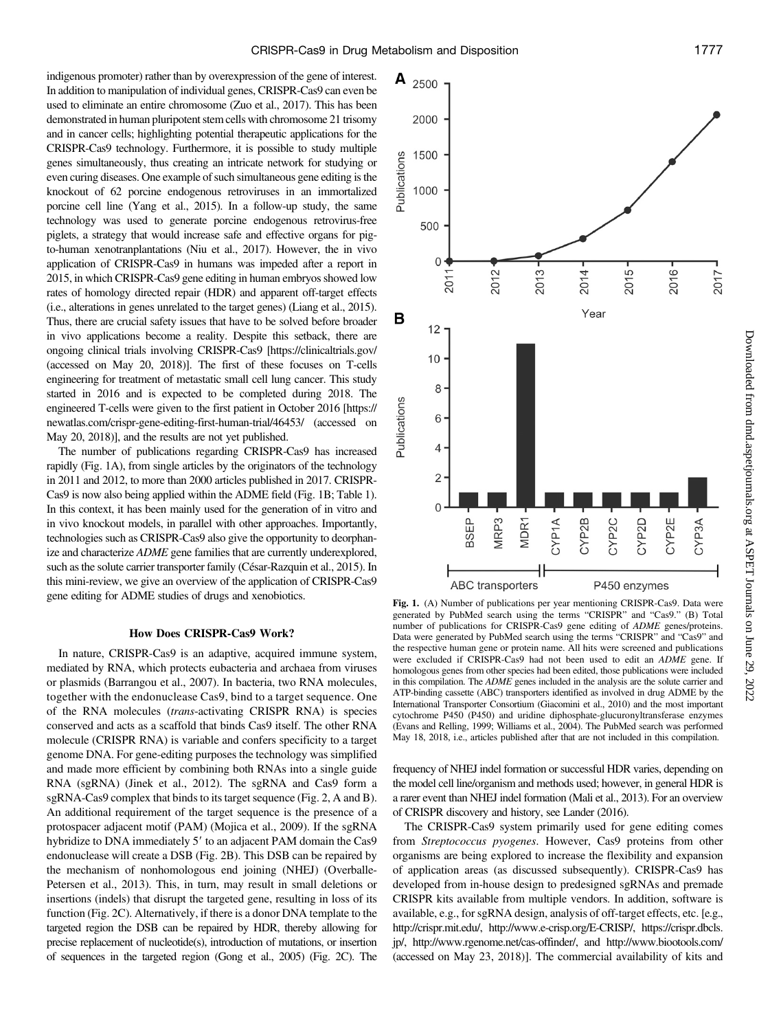indigenous promoter) rather than by overexpression of the gene of interest. In addition to manipulation of individual genes, CRISPR-Cas9 can even be used to eliminate an entire chromosome (Zuo et al., 2017). This has been demonstrated in human pluripotent stem cells with chromosome 21 trisomy and in cancer cells; highlighting potential therapeutic applications for the CRISPR-Cas9 technology. Furthermore, it is possible to study multiple genes simultaneously, thus creating an intricate network for studying or even curing diseases. One example of such simultaneous gene editing is the knockout of 62 porcine endogenous retroviruses in an immortalized porcine cell line (Yang et al., 2015). In a follow-up study, the same technology was used to generate porcine endogenous retrovirus-free piglets, a strategy that would increase safe and effective organs for pigto-human xenotranplantations (Niu et al., 2017). However, the in vivo application of CRISPR-Cas9 in humans was impeded after a report in 2015, in which CRISPR-Cas9 gene editing in human embryos showed low rates of homology directed repair (HDR) and apparent off-target effects (i.e., alterations in genes unrelated to the target genes) (Liang et al., 2015). Thus, there are crucial safety issues that have to be solved before broader in vivo applications become a reality. Despite this setback, there are ongoing clinical trials involving CRISPR-Cas9 [<https://clinicaltrials.gov/> (accessed on May 20, 2018)]. The first of these focuses on T-cells engineering for treatment of metastatic small cell lung cancer. This study started in 2016 and is expected to be completed during 2018. The engineered T-cells were given to the first patient in October 2016 [\[https://](https://newatlas.com/crispr-gene-editing-first-human-trial/46453/) [newatlas.com/crispr-gene-editing-first-human-trial/46453/](https://newatlas.com/crispr-gene-editing-first-human-trial/46453/) (accessed on May 20, 2018)], and the results are not yet published.

The number of publications regarding CRISPR-Cas9 has increased rapidly (Fig. 1A), from single articles by the originators of the technology in 2011 and 2012, to more than 2000 articles published in 2017. CRISPR-Cas9 is now also being applied within the ADME field (Fig. 1B; Table 1). In this context, it has been mainly used for the generation of in vitro and in vivo knockout models, in parallel with other approaches. Importantly, technologies such as CRISPR-Cas9 also give the opportunity to deorphanize and characterize ADME gene families that are currently underexplored, such as the solute carrier transporter family (César-Razquin et al., 2015). In this mini-review, we give an overview of the application of CRISPR-Cas9 gene editing for ADME studies of drugs and xenobiotics.

### How Does CRISPR-Cas9 Work?

In nature, CRISPR-Cas9 is an adaptive, acquired immune system, mediated by RNA, which protects eubacteria and archaea from viruses or plasmids (Barrangou et al., 2007). In bacteria, two RNA molecules, together with the endonuclease Cas9, bind to a target sequence. One of the RNA molecules (trans-activating CRISPR RNA) is species conserved and acts as a scaffold that binds Cas9 itself. The other RNA molecule (CRISPR RNA) is variable and confers specificity to a target genome DNA. For gene-editing purposes the technology was simplified and made more efficient by combining both RNAs into a single guide RNA (sgRNA) (Jinek et al., 2012). The sgRNA and Cas9 form a sgRNA-Cas9 complex that binds to its target sequence (Fig. 2, A and B). An additional requirement of the target sequence is the presence of a protospacer adjacent motif (PAM) (Mojica et al., 2009). If the sgRNA hybridize to DNA immediately 5' to an adjacent PAM domain the Cas9 endonuclease will create a DSB (Fig. 2B). This DSB can be repaired by the mechanism of nonhomologous end joining (NHEJ) (Overballe-Petersen et al., 2013). This, in turn, may result in small deletions or insertions (indels) that disrupt the targeted gene, resulting in loss of its function (Fig. 2C). Alternatively, if there is a donor DNA template to the targeted region the DSB can be repaired by HDR, thereby allowing for precise replacement of nucleotide(s), introduction of mutations, or insertion of sequences in the targeted region (Gong et al., 2005) (Fig. 2C). The



Downloaded from dmd.aspetjournals.org at ASPET Journals on June 29, 2022 Downloaded from [dmd.aspetjournals.org](http://dmd.aspetjournals.org/) at ASPET Journals on June 29, 2022

Fig. 1. (A) Number of publications per year mentioning CRISPR-Cas9. Data were generated by PubMed search using the terms "CRISPR" and "Cas9." (B) Total number of publications for CRISPR-Cas9 gene editing of ADME genes/proteins. Data were generated by PubMed search using the terms "CRISPR" and "Cas9" and the respective human gene or protein name. All hits were screened and publications were excluded if CRISPR-Cas9 had not been used to edit an ADME gene. If homologous genes from other species had been edited, those publications were included in this compilation. The ADME genes included in the analysis are the solute carrier and ATP-binding cassette (ABC) transporters identified as involved in drug ADME by the International Transporter Consortium (Giacomini et al., 2010) and the most important cytochrome P450 (P450) and uridine diphosphate-glucuronyltransferase enzymes (Evans and Relling, 1999; Williams et al., 2004). The PubMed search was performed May 18, 2018, i.e., articles published after that are not included in this compilation.

frequency of NHEJ indel formation or successful HDR varies, depending on the model cell line/organism and methods used; however, in general HDR is a rarer event than NHEJ indel formation (Mali et al., 2013). For an overview of CRISPR discovery and history, see Lander (2016).

The CRISPR-Cas9 system primarily used for gene editing comes from Streptococcus pyogenes. However, Cas9 proteins from other organisms are being explored to increase the flexibility and expansion of application areas (as discussed subsequently). CRISPR-Cas9 has developed from in-house design to predesigned sgRNAs and premade CRISPR kits available from multiple vendors. In addition, software is available, e.g., for sgRNA design, analysis of off-target effects, etc. [e.g., [http://crispr.mit.edu/,](http://crispr.mit.edu/) [http://www.e-crisp.org/E-CRISP/,](http://www.e-crisp.org/E-CRISP/) [https://crispr.dbcls.](https://crispr.dbcls.jp/) [jp/,](https://crispr.dbcls.jp/)<http://www.rgenome.net/cas-offinder/>, and<http://www.biootools.com/> (accessed on May 23, 2018)]. The commercial availability of kits and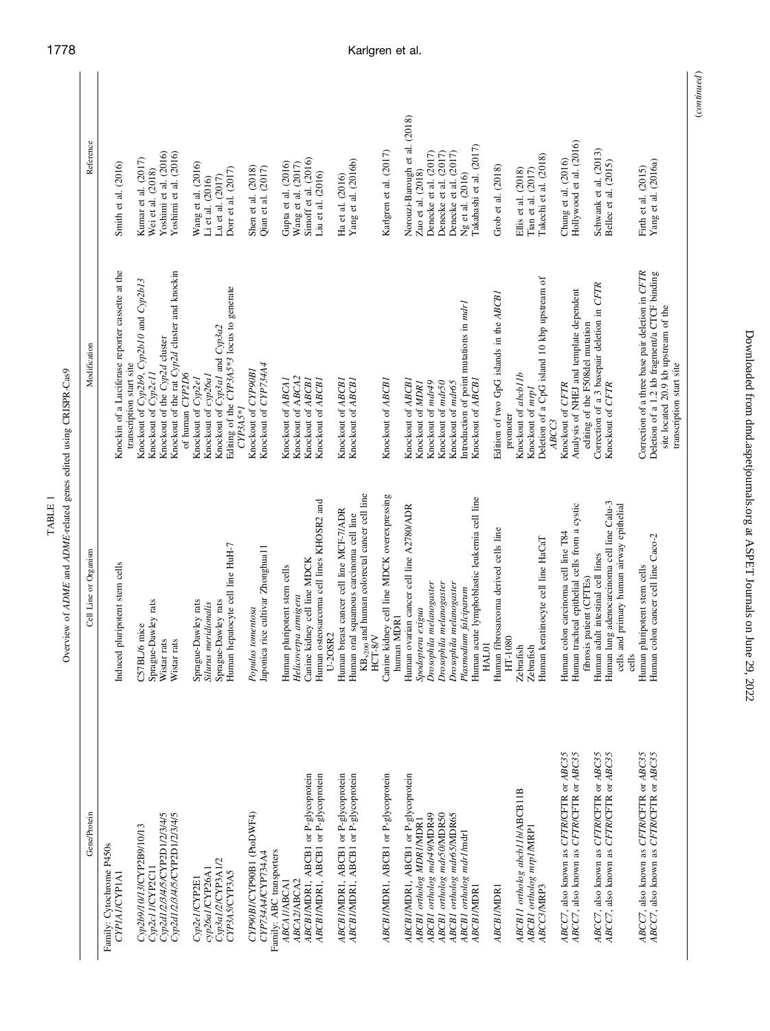| Gene/Protein                                     | Cell Line or Organism                                     | Modification                                                     | Reference                                     |  |
|--------------------------------------------------|-----------------------------------------------------------|------------------------------------------------------------------|-----------------------------------------------|--|
| Family: Cytochrome P450s<br><b>CYPIAI/CYPIAI</b> | Induced pluripotent stem cells                            | Knockin of a Luciferase reporter cassette at the                 | Smith et al. (2016)                           |  |
|                                                  |                                                           | transcription start site                                         |                                               |  |
| Cyp2b9/10/13/CYP2B9/10/13                        | ./6 mice<br><b>C57BL</b>                                  | Knockout of Cyp2b9, Cyp2b10 and Cyp2b13                          | Kumar et al. (2017)                           |  |
| Cyp2c11/CYP2C11                                  | Sprague-Dawley rats                                       | Knockout of Cyp2c11                                              | Wei et al. (2018)                             |  |
| Cyp2d1/2/3/4/5/CYP2D1/2/3/4/5                    | rats<br>Wistar                                            | Knockout of the Cyp2d cluster                                    | Yoshimi et al. (2016)                         |  |
| Cyp2d1/2/3/4/5/CYP2D1/2/3/4/5                    | rats<br>Wistar                                            | Knockout of the rat Cyp2d cluster and knockin<br>of human CYP2D6 | Yoshimi et al. (2016)                         |  |
| Cyp2e1/CYP2E1                                    | Sprague-Dawley rats                                       | Knockout of Cyp2e1                                               | Wang et al. (2016)                            |  |
| cyp26a1/CYP26A1                                  | Silurus meridionalis                                      | Knockout of cyp26al                                              | Li et al. (2016)                              |  |
| Cyp3a1/2/CYP3A1/2                                | Sprague-Dawley rats                                       | Knockout of Cyp3al and Cyp3a2                                    | Lu et al. (2017)                              |  |
|                                                  |                                                           |                                                                  |                                               |  |
| CYP3A5/CYP3A5                                    | Human hepatocyte cell line HuH-7                          | Editing of the CYP3A5*3 locus to generate<br>$CP3A5*I$           | Dorr et al. (2017)                            |  |
| CYP90B1/CYP90B1 (PtoDWF4)                        | Populus tomentosa                                         | Knockout of CYP90B1                                              | Shen et al. (2018)                            |  |
| CYP734A4/CYP734A4                                | Japonica rice cultivar Zhonghua11                         | Knockout of CYP734A4                                             | Qian et al. (2017)                            |  |
| Family: ABC transporters                         |                                                           |                                                                  |                                               |  |
| ABCAI/ABCA1                                      | Human pluripotent stem cells                              | Knockout of ABCA1                                                | Gupta et al. $(2016)$<br>Wang et al. $(2017)$ |  |
| ABCA2/ABCA2                                      | Helicoverpa armigera                                      | Knockout of ABCA2                                                |                                               |  |
| ABCBI/MDR1, ABCB1 or P-glycoprotein              | Canine kidney cell line MDCK                              | Knockout of ABCB1                                                | Simoff et al. (2016)                          |  |
| ABCBI/MDR1, ABCB1 or P-glycoprotein              | Human osteosarcoma cell lines KHOSR2 and<br>$U-2OSR2$     | Knockout of ABCB1                                                | $\mathop{\rm Liu}\nolimits$ et al. (2016)     |  |
| ABCBI/MDR1, ABCB1 or P-glycoprotein              | Human breast cancer cell line MCF-7/ADR                   | Knockout of ABCB1                                                | Ha et al. (2016)                              |  |
| ABCBI/MDR1, ABCB1 or P-glycoprotein              | Human oral squamous carcinoma cell line                   | Knockout of ABCB1                                                | Yang et al. (2016b)                           |  |
|                                                  | KB <sub>v200</sub> and human colorectal cancer cell line  |                                                                  |                                               |  |
|                                                  | HCT-8/V                                                   |                                                                  |                                               |  |
| ABCBI/MDR1, ABCB1 or P-glycoprotein              | Canine kidney cell line MDCK overexpressing<br>human MDR1 | Knockout of ABCB1                                                | Karlgren et al. (2017)                        |  |
| ABCBI/MDR1, ABCB1 or P-glycoprotein              | Human ovarian cancer cell line A2780/ADR                  | Knockout of ABCBI                                                | Norouzi-Barough et al. (2018)                 |  |
| ABCB1 ortholog MDRIMDR1                          | Spodoptera exigua                                         | Knockout of MDRI                                                 | Zuo et al. $(2018)$                           |  |
| ABCB1 ortholog mdr49/MDR49                       | Drosophila melanogaster                                   | Knockout of mdr49                                                | Denecke et al. (2017)                         |  |
|                                                  |                                                           | Knockout of mdr50                                                | Denecke et al. (2017)                         |  |
| ABCB1 ortholog mdr50/MDR50                       | Drosophila melanogaster                                   |                                                                  |                                               |  |
| ABCB1 ortholog mdr65/MDR65                       | Drosophila melanogaster                                   | Knockout of mar65                                                | Denecke et al. (2017)                         |  |
| ABCB1 ortholog mdr1/mdr1                         | Plasmodium falciparum                                     | Introduction of point mutations in marl                          | Ng et al. (2016)                              |  |
| ABCBI/MDR1                                       | Human acute lymphoblastic leukemia cell line<br>HAL01     | Knockout of ABCB1                                                | Takahashi et al. (2017)                       |  |
| ABCBI/MDR1                                       | Human fibrosarcoma derived cells line                     | Edition of two GpG islands in the ABCB1                          | Grob et al. (2018)                            |  |
|                                                  | HT-1080                                                   | promoter                                                         |                                               |  |
| ABCB11 ortholog abcb11b/ABCB11B                  | Zebrafish                                                 | Knockout of abcb11b                                              | Ellis et al. (2018)                           |  |
| ABCB1 ortholog mrp1/MRP1                         | Zebrafish                                                 | Knockout of mrp1                                                 | Tian et al. $(2017)$                          |  |
| ABCC3/MRP3                                       | Human keratinocyte cell line HaCaT                        | Deletion of a CpG island 10 kbp upstream of<br>ABCC3             | Takechi et al. (2018)                         |  |
| ABCC7, also known as CFTR/CFTR or ABC35          | Human colon carcinoma cell line T84                       | Knockout of CFTR                                                 | Chung et al. (2016)                           |  |
| ABCC7, also known as CFTR/CFTR or ABC35          | Human tracheal epithelial cells from a cystic             | Analysis of NHEJ and template dependent                          | Hollywood et al. (2016)                       |  |
|                                                  | fibrosis patient (CFTEs)                                  | editing of the F508del mutation                                  |                                               |  |
| ABCC7, also known as CFTR/CFTR or ABC35          | Human adult intestinal cell lines                         | Correction of a 3 basepair deletion in CFTR                      | Schwank et al. (2013)                         |  |
| ABCC7, also known as CFTR/CFTR or ABC35          | Human lung adenocarcinoma cell line Calu-3                | Knockout of CFTR                                                 | Bellec et al. (2015)                          |  |
|                                                  | cells and primary human airway epithelial<br>cells        |                                                                  |                                               |  |
| ABCC7, also known as CFTR/CFTR or ABC35          | Human pluripotent stem cells                              | Correction of a three base pair deletion in CFTR                 | Firth et al. (2015)                           |  |
| ABCC7, also known as CFTR/CFTR or ABC35          | colon cancer cell line Caco-2<br>Human                    | Deletion of a 1.2 kb fragment/a CTCF binding                     | Yang et al. (2016a)                           |  |
|                                                  |                                                           | site located 20.9 kb upstream of the                             |                                               |  |
|                                                  |                                                           | transcription start site                                         |                                               |  |

Downloaded from dmd.aspetjournals.org at ASPET Journals on June 29, 2022 Downloaded from [dmd.aspetjournals.org](http://dmd.aspetjournals.org/) at ASPET Journals on June 29, 2022

(continued )

 $\left( continued\right)$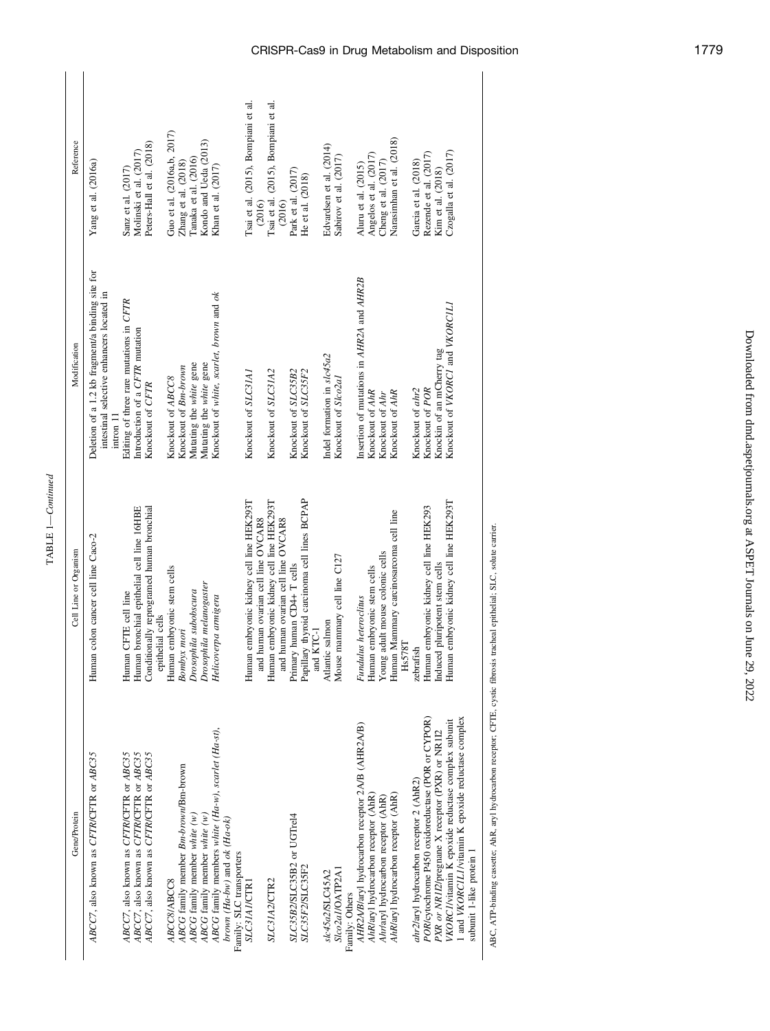| Reference             | Yang et al. (2016a)                                                                                        | Molinski et al. (2017)<br>Sanz et al. (2017)                                       | Peters-Hall et al. (2018)                                     | Guo et al. (2016a,b, 2017) | Zhang et al. (2018)                  | Tanaka et al. (2016)         | Kondo and Ueda (2013)        | Khan et al. (2017)                                                                             |                          | Tsai et al. (2015), Bompiani et al.<br>(2016)                                  | Tsai et al. (2015), Bompiani et al.      | (2016)                             | Park et al. (2017)         | He et al. (2018)                                          | Edvardsen et al. (2014)    | Sabirov et al. $(2017)$           | Aluru et al. (2015)                              | Angelos et al. (2017)               | Cheng et al. (2017)                 | Narasimhan et al. (2018)                                | Garcia et al. (2018)                    | Rezende et al. (2017)                             | Kim et al. (2018)                               | Czogalla et al. (2017)                                                                                   |                          |
|-----------------------|------------------------------------------------------------------------------------------------------------|------------------------------------------------------------------------------------|---------------------------------------------------------------|----------------------------|--------------------------------------|------------------------------|------------------------------|------------------------------------------------------------------------------------------------|--------------------------|--------------------------------------------------------------------------------|------------------------------------------|------------------------------------|----------------------------|-----------------------------------------------------------|----------------------------|-----------------------------------|--------------------------------------------------|-------------------------------------|-------------------------------------|---------------------------------------------------------|-----------------------------------------|---------------------------------------------------|-------------------------------------------------|----------------------------------------------------------------------------------------------------------|--------------------------|
| Modification          | Deletion of a 1.2 kb fragment/a binding site for<br>intestinal selective enhancers located in<br>intron 11 | Editing of three rare mutations in CFTR<br>Introduction of a CFTR mutation         | Knockout of CFTR                                              | Knockout of ABCC8          | Knockout of Bm-brown                 | Mutating the white gene      | Mutating the white gene      | Knockout of white, scarlet, brown and ok                                                       |                          | Knockout of SLC31A1                                                            | Knockout of SLC31A2                      |                                    | Knockout of SLC35B2        | Knockout of SLC35F2                                       | Indel formation in slc45a2 | Knockout of Slco2al               | Insertion of mutations in AHR2A and AHR2B        | Knockout of AhR                     | Knockout of Ahr                     | Knockout of AhR                                         | Knockout of ahr2                        | Knockout of POR                                   | Knockin of an mCherry tag                       | Knockout of VKORC1 and VKORC1L1                                                                          |                          |
| Cell Line or Organism | Human colon cancer cell line Caco-2                                                                        | Human bronchial epithelial cell line 16HBE<br>Human CFTE cell line                 | Conditionally reprogramed human bronchial<br>epithelial cells | Human embryonic stem cells | Bombyx mori                          | Drosophila subobscura        | Drosophila melanogaster      | Helicoverpa armigera                                                                           |                          | Human embryonic kidney cell line HEK293T<br>and human ovarian cell line OVCAR8 | Human embryonic kidney cell line HEK293T | and human ovarian cell line OVCAR8 | Primary human CD4+ T cells | Papillary thyroid carcinoma cell lines BCPAP<br>and KTC-1 | Atlantic salmon            | Mouse mammary cell line C127      | Fundulus heteroclitus                            | Human embryonic stem cells          | Young adult mouse colonic cells     | Human Mammary carcinosarcoma cell line<br><b>Hs578T</b> | zebrafish                               | Human embryonic kidney cell line HEK293           | Induced pluripotent stem cells                  | Human embryonic kidney cell line HEK293T                                                                 |                          |
| Gene/Protein          | ABCC7, also known as CFTR/CFTR or ABC35                                                                    | ABCC7, also known as CFTR/CFTR or ABC35<br>ABCC7, also known as CFTR/CFTR or ABC35 | ABCC7, also known as CFTR/CFTR or ABC35                       | ABCC8/ABCC8                | ABCG family member Bm-brown/Bm-brown | ABCG family member white (w) | ABCG family member white (w) | ABCG family members white $(Ha-w)$ , scarlet $(Ha-st)$ ,<br>brown ( $Ha-bw$ ) and ok $(Ha-ok)$ | Family: SLC transporters | SLC31A1/CTR1                                                                   | SLC31A2/CTR2                             |                                    | SLC35B2/SLC35B2 or UGTrel4 | SLC35F2/SLC35F2                                           | slc45a2/SLC45A2            | Slco2a1/OATP2A1<br>Family: Others | AHR2A/B/aryl hydrocarbon receptor 2A/B (AHR2A/B) | AhR/aryl hydrocarbon receptor (AhR) | Ahr/aryl hydrocarbon receptor (AhR) | AhR/aryl hydrocarbon receptor (AhR)                     | ahr2/aryl hydrocarbon receptor 2 (AhR2) | POR/cytochrome P450 oxidoreductase (POR or CYPOR) | PXR or NR112/pregnane X receptor (PXR) or NR112 | 1 and VKORCILI/vitamin K epoxide reductase complex<br>VKORCI/vitamin K epoxide reductase complex subunit | subunit 1-like protein 1 |

TABLE 1—Continued

ABC, ATP-binding cassette; AhR, aryl hydrocarbon receptor; CFTE, cystic fibrosis tracheal epithelial; SLC, solute carrier. ABC, ATP-binding cassette; AhR, aryl hydrocarbon receptor; CFTE, cystic fibrosis tracheal epithelial; SLC, solute carrier.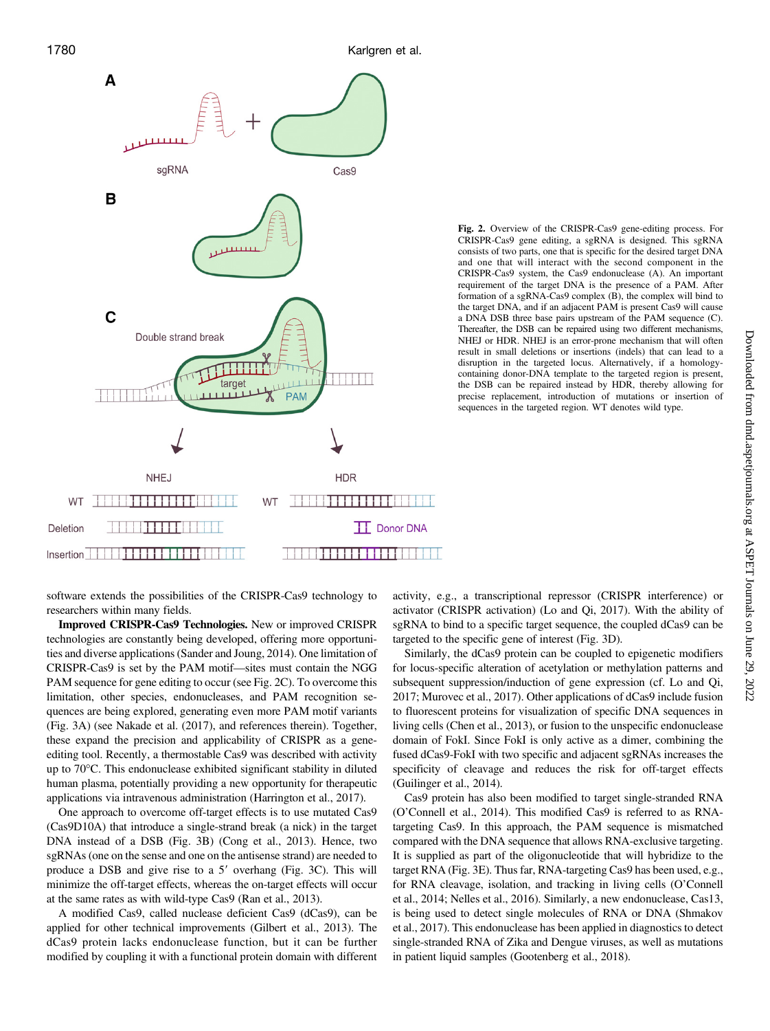

Fig. 2. Overview of the CRISPR-Cas9 gene-editing process. For CRISPR-Cas9 gene editing, a sgRNA is designed. This sgRNA consists of two parts, one that is specific for the desired target DNA and one that will interact with the second component in the CRISPR-Cas9 system, the Cas9 endonuclease (A). An important requirement of the target DNA is the presence of a PAM. After formation of a sgRNA-Cas9 complex  $(B)$ , the complex will bind to the target DNA, and if an adjacent PAM is present Cas9 will cause a DNA DSB three base pairs upstream of the PAM sequence (C). Thereafter, the DSB can be repaired using two different mechanisms, NHEJ or HDR. NHEJ is an error-prone mechanism that will often result in small deletions or insertions (indels) that can lead to a disruption in the targeted locus. Alternatively, if a homologycontaining donor-DNA template to the targeted region is present, the DSB can be repaired instead by HDR, thereby allowing for precise replacement, introduction of mutations or insertion of sequences in the targeted region. WT denotes wild type.

software extends the possibilities of the CRISPR-Cas9 technology to researchers within many fields.

Improved CRISPR-Cas9 Technologies. New or improved CRISPR technologies are constantly being developed, offering more opportunities and diverse applications (Sander and Joung, 2014). One limitation of CRISPR-Cas9 is set by the PAM motif—sites must contain the NGG PAM sequence for gene editing to occur (see Fig. 2C). To overcome this limitation, other species, endonucleases, and PAM recognition sequences are being explored, generating even more PAM motif variants (Fig. 3A) (see Nakade et al. (2017), and references therein). Together, these expand the precision and applicability of CRISPR as a geneediting tool. Recently, a thermostable Cas9 was described with activity up to 70°C. This endonuclease exhibited significant stability in diluted human plasma, potentially providing a new opportunity for therapeutic applications via intravenous administration (Harrington et al., 2017).

One approach to overcome off-target effects is to use mutated Cas9 (Cas9D10A) that introduce a single-strand break (a nick) in the target DNA instead of a DSB (Fig. 3B) (Cong et al., 2013). Hence, two sgRNAs (one on the sense and one on the antisense strand) are needed to produce a DSB and give rise to a  $5'$  overhang (Fig. 3C). This will minimize the off-target effects, whereas the on-target effects will occur at the same rates as with wild-type Cas9 (Ran et al., 2013).

A modified Cas9, called nuclease deficient Cas9 (dCas9), can be applied for other technical improvements (Gilbert et al., 2013). The dCas9 protein lacks endonuclease function, but it can be further modified by coupling it with a functional protein domain with different

activity, e.g., a transcriptional repressor (CRISPR interference) or activator (CRISPR activation) (Lo and Qi, 2017). With the ability of sgRNA to bind to a specific target sequence, the coupled dCas9 can be targeted to the specific gene of interest (Fig. 3D).

Similarly, the dCas9 protein can be coupled to epigenetic modifiers for locus-specific alteration of acetylation or methylation patterns and subsequent suppression/induction of gene expression (cf. Lo and Qi, 2017; Murovec et al., 2017). Other applications of dCas9 include fusion to fluorescent proteins for visualization of specific DNA sequences in living cells (Chen et al., 2013), or fusion to the unspecific endonuclease domain of FokI. Since FokI is only active as a dimer, combining the fused dCas9-FokI with two specific and adjacent sgRNAs increases the specificity of cleavage and reduces the risk for off-target effects (Guilinger et al., 2014).

Cas9 protein has also been modified to target single-stranded RNA (O'Connell et al., 2014). This modified Cas9 is referred to as RNAtargeting Cas9. In this approach, the PAM sequence is mismatched compared with the DNA sequence that allows RNA-exclusive targeting. It is supplied as part of the oligonucleotide that will hybridize to the target RNA (Fig. 3E). Thus far, RNA-targeting Cas9 has been used, e.g., for RNA cleavage, isolation, and tracking in living cells (O'Connell et al., 2014; Nelles et al., 2016). Similarly, a new endonuclease, Cas13, is being used to detect single molecules of RNA or DNA (Shmakov et al., 2017). This endonuclease has been applied in diagnostics to detect single-stranded RNA of Zika and Dengue viruses, as well as mutations in patient liquid samples (Gootenberg et al., 2018).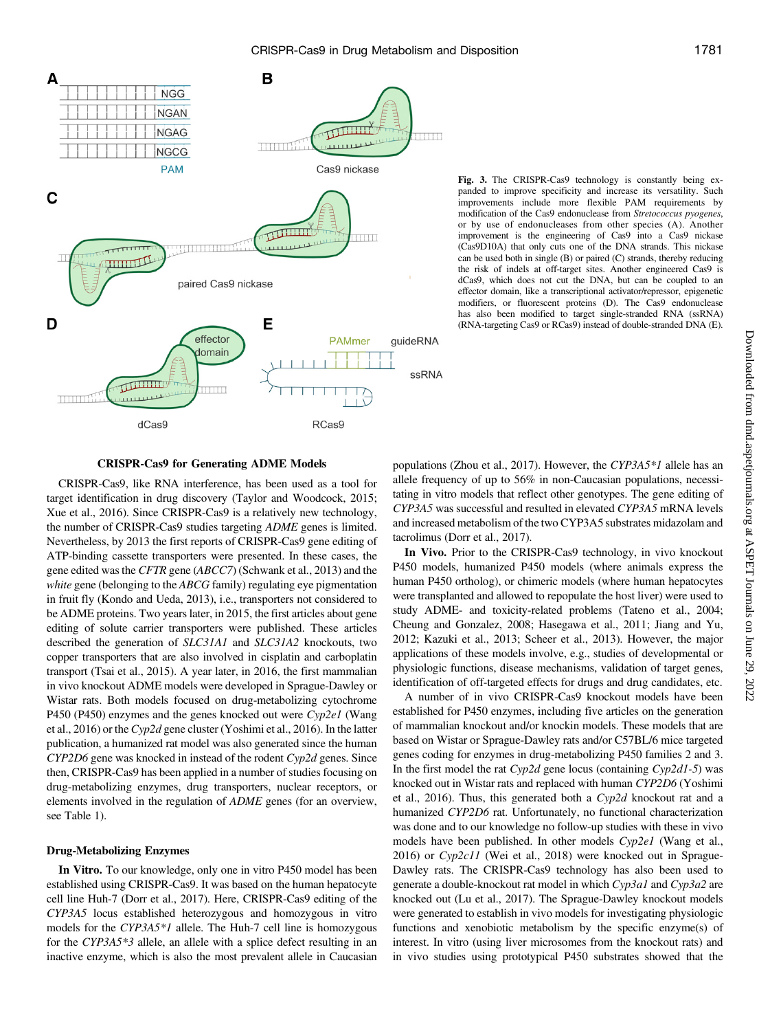

Fig. 3. The CRISPR-Cas9 technology is constantly being expanded to improve specificity and increase its versatility. Such improvements include more flexible PAM requirements by modification of the Cas9 endonuclease from Stretococcus pyogenes, or by use of endonucleases from other species (A). Another improvement is the engineering of Cas9 into a Cas9 nickase (Cas9D10A) that only cuts one of the DNA strands. This nickase can be used both in single (B) or paired (C) strands, thereby reducing the risk of indels at off-target sites. Another engineered Cas9 is dCas9, which does not cut the DNA, but can be coupled to an effector domain, like a transcriptional activator/repressor, epigenetic modifiers, or fluorescent proteins (D). The Cas9 endonuclease has also been modified to target single-stranded RNA (ssRNA) (RNA-targeting Cas9 or RCas9) instead of double-stranded DNA (E).

#### CRISPR-Cas9 for Generating ADME Models

CRISPR-Cas9, like RNA interference, has been used as a tool for target identification in drug discovery (Taylor and Woodcock, 2015; Xue et al., 2016). Since CRISPR-Cas9 is a relatively new technology, the number of CRISPR-Cas9 studies targeting ADME genes is limited. Nevertheless, by 2013 the first reports of CRISPR-Cas9 gene editing of ATP-binding cassette transporters were presented. In these cases, the gene edited was the CFTR gene (ABCC7) (Schwank et al., 2013) and the white gene (belonging to the ABCG family) regulating eye pigmentation in fruit fly (Kondo and Ueda, 2013), i.e., transporters not considered to be ADME proteins. Two years later, in 2015, the first articles about gene editing of solute carrier transporters were published. These articles described the generation of SLC31A1 and SLC31A2 knockouts, two copper transporters that are also involved in cisplatin and carboplatin transport (Tsai et al., 2015). A year later, in 2016, the first mammalian in vivo knockout ADME models were developed in Sprague-Dawley or Wistar rats. Both models focused on drug-metabolizing cytochrome P450 (P450) enzymes and the genes knocked out were Cyp2e1 (Wang et al., 2016) or the Cyp2d gene cluster (Yoshimi et al., 2016). In the latter publication, a humanized rat model was also generated since the human CYP2D6 gene was knocked in instead of the rodent Cyp2d genes. Since then, CRISPR-Cas9 has been applied in a number of studies focusing on drug-metabolizing enzymes, drug transporters, nuclear receptors, or elements involved in the regulation of ADME genes (for an overview, see Table 1).

## Drug-Metabolizing Enzymes

In Vitro. To our knowledge, only one in vitro P450 model has been established using CRISPR-Cas9. It was based on the human hepatocyte cell line Huh-7 (Dorr et al., 2017). Here, CRISPR-Cas9 editing of the CYP3A5 locus established heterozygous and homozygous in vitro models for the CYP3A5<sup>\*</sup>1 allele. The Huh-7 cell line is homozygous for the CYP3A5\*3 allele, an allele with a splice defect resulting in an inactive enzyme, which is also the most prevalent allele in Caucasian populations (Zhou et al., 2017). However, the CYP3A5\*1 allele has an allele frequency of up to 56% in non-Caucasian populations, necessitating in vitro models that reflect other genotypes. The gene editing of CYP3A5 was successful and resulted in elevated CYP3A5 mRNA levels and increased metabolism of the two CYP3A5 substrates midazolam and tacrolimus (Dorr et al., 2017).

In Vivo. Prior to the CRISPR-Cas9 technology, in vivo knockout P450 models, humanized P450 models (where animals express the human P450 ortholog), or chimeric models (where human hepatocytes were transplanted and allowed to repopulate the host liver) were used to study ADME- and toxicity-related problems (Tateno et al., 2004; Cheung and Gonzalez, 2008; Hasegawa et al., 2011; Jiang and Yu, 2012; Kazuki et al., 2013; Scheer et al., 2013). However, the major applications of these models involve, e.g., studies of developmental or physiologic functions, disease mechanisms, validation of target genes, identification of off-targeted effects for drugs and drug candidates, etc.

A number of in vivo CRISPR-Cas9 knockout models have been established for P450 enzymes, including five articles on the generation of mammalian knockout and/or knockin models. These models that are based on Wistar or Sprague-Dawley rats and/or C57BL/6 mice targeted genes coding for enzymes in drug-metabolizing P450 families 2 and 3. In the first model the rat  $Cyp2d$  gene locus (containing  $Cyp2d1-5$ ) was knocked out in Wistar rats and replaced with human CYP2D6 (Yoshimi et al., 2016). Thus, this generated both a  $Cyp2d$  knockout rat and a humanized CYP2D6 rat. Unfortunately, no functional characterization was done and to our knowledge no follow-up studies with these in vivo models have been published. In other models Cyp2e1 (Wang et al., 2016) or Cyp2c11 (Wei et al., 2018) were knocked out in Sprague-Dawley rats. The CRISPR-Cas9 technology has also been used to generate a double-knockout rat model in which Cyp3a1 and Cyp3a2 are knocked out (Lu et al., 2017). The Sprague-Dawley knockout models were generated to establish in vivo models for investigating physiologic functions and xenobiotic metabolism by the specific enzyme(s) of interest. In vitro (using liver microsomes from the knockout rats) and in vivo studies using prototypical P450 substrates showed that the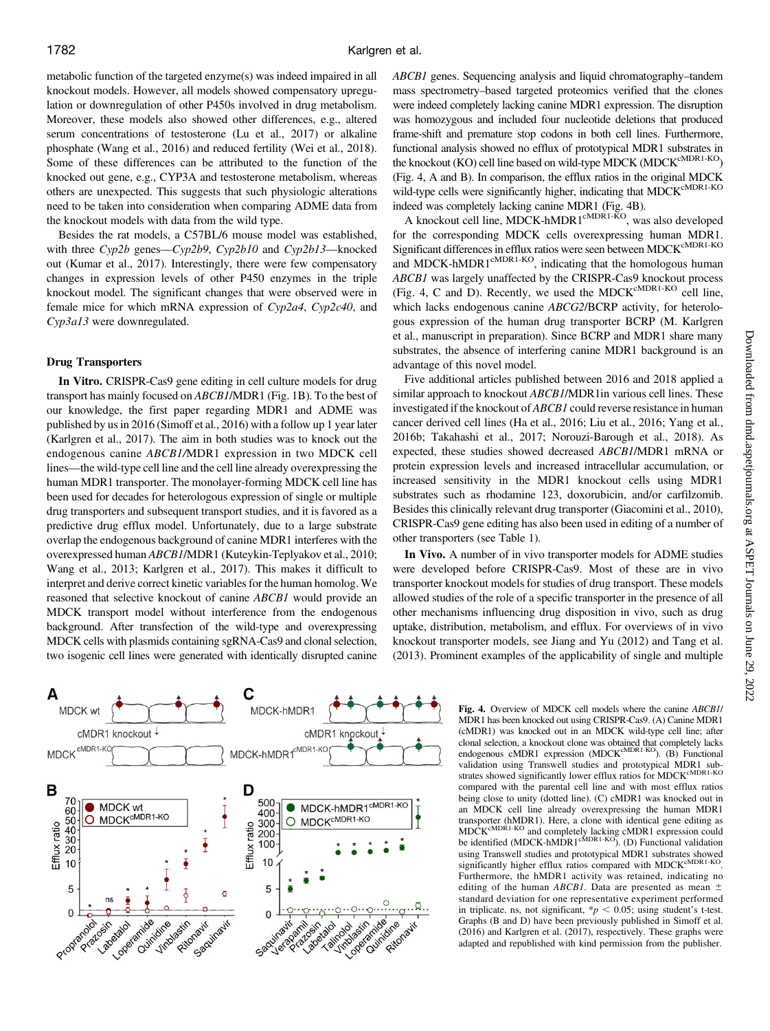metabolic function of the targeted enzyme(s) was indeed impaired in all knockout models. However, all models showed compensatory upregulation or downregulation of other P450s involved in drug metabolism. Moreover, these models also showed other differences, e.g., altered serum concentrations of testosterone (Lu et al., 2017) or alkaline phosphate (Wang et al., 2016) and reduced fertility (Wei et al., 2018). Some of these differences can be attributed to the function of the knocked out gene, e.g., CYP3A and testosterone metabolism, whereas others are unexpected. This suggests that such physiologic alterations need to be taken into consideration when comparing ADME data from the knockout models with data from the wild type.

Besides the rat models, a C57BL/6 mouse model was established, with three Cyp2b genes—Cyp2b9, Cyp2b10 and Cyp2b13—knocked out (Kumar et al., 2017). Interestingly, there were few compensatory changes in expression levels of other P450 enzymes in the triple knockout model. The significant changes that were observed were in female mice for which mRNA expression of Cyp2a4, Cyp2c40, and Cyp3a13 were downregulated.

## Drug Transporters

In Vitro. CRISPR-Cas9 gene editing in cell culture models for drug transport has mainly focused on ABCB1/MDR1 (Fig. 1B). To the best of our knowledge, the first paper regarding MDR1 and ADME was published by us in 2016 (Simoff et al., 2016) with a follow up 1 year later (Karlgren et al., 2017). The aim in both studies was to knock out the endogenous canine ABCB1/MDR1 expression in two MDCK cell lines—the wild-type cell line and the cell line already overexpressing the human MDR1 transporter. The monolayer-forming MDCK cell line has been used for decades for heterologous expression of single or multiple drug transporters and subsequent transport studies, and it is favored as a predictive drug efflux model. Unfortunately, due to a large substrate overlap the endogenous background of canine MDR1 interferes with the overexpressed human ABCB1/MDR1 (Kuteykin-Teplyakov et al., 2010; Wang et al., 2013; Karlgren et al., 2017). This makes it difficult to interpret and derive correct kinetic variables for the human homolog. We reasoned that selective knockout of canine ABCB1 would provide an MDCK transport model without interference from the endogenous background. After transfection of the wild-type and overexpressing MDCK cells with plasmids containing sgRNA-Cas9 and clonal selection, two isogenic cell lines were generated with identically disrupted canine



ABCB1 genes. Sequencing analysis and liquid chromatography–tandem mass spectrometry–based targeted proteomics verified that the clones were indeed completely lacking canine MDR1 expression. The disruption was homozygous and included four nucleotide deletions that produced frame-shift and premature stop codons in both cell lines. Furthermore, functional analysis showed no efflux of prototypical MDR1 substrates in the knockout (KO) cell line based on wild-type MDCK (MDCK<sup>cMDR1-KO</sup>) (Fig. 4, A and B). In comparison, the efflux ratios in the original MDCK wild-type cells were significantly higher, indicating that MDCKCMDR1-KO indeed was completely lacking canine MDR1 (Fig. 4B).

A knockout cell line, MDCK-hMDR1<sup>cMDR1-KO</sup>, was also developed for the corresponding MDCK cells overexpressing human MDR1. Significant differences in efflux ratios were seen between MDCK<sup>cMDR1-KO</sup> and MDCK-hMDR1<sup>cMDR1-KO</sup>, indicating that the homologous human ABCB1 was largely unaffected by the CRISPR-Cas9 knockout process (Fig. 4, C and D). Recently, we used the MDCK<sup>CMDR1-KO</sup> cell line. which lacks endogenous canine ABCG2/BCRP activity, for heterologous expression of the human drug transporter BCRP (M. Karlgren et al., manuscript in preparation). Since BCRP and MDR1 share many substrates, the absence of interfering canine MDR1 background is an advantage of this novel model.

Five additional articles published between 2016 and 2018 applied a similar approach to knockout *ABCB1*/MDR1in various cell lines. These investigated if the knockout of ABCB1 could reverse resistance in human cancer derived cell lines (Ha et al., 2016; Liu et al., 2016; Yang et al., 2016b; Takahashi et al., 2017; Norouzi-Barough et al., 2018). As expected, these studies showed decreased ABCB1/MDR1 mRNA or protein expression levels and increased intracellular accumulation, or increased sensitivity in the MDR1 knockout cells using MDR1 substrates such as rhodamine 123, doxorubicin, and/or carfilzomib. Besides this clinically relevant drug transporter (Giacomini et al., 2010), CRISPR-Cas9 gene editing has also been used in editing of a number of other transporters (see Table 1).

In Vivo. A number of in vivo transporter models for ADME studies were developed before CRISPR-Cas9. Most of these are in vivo transporter knockout models for studies of drug transport. These models allowed studies of the role of a specific transporter in the presence of all other mechanisms influencing drug disposition in vivo, such as drug uptake, distribution, metabolism, and efflux. For overviews of in vivo knockout transporter models, see Jiang and Yu (2012) and Tang et al. (2013). Prominent examples of the applicability of single and multiple

> Fig. 4. Overview of MDCK cell models where the canine ABCB1/ MDR1 has been knocked out using CRISPR-Cas9. (A) Canine MDR1 (cMDR1) was knocked out in an MDCK wild-type cell line; after clonal selection, a knockout clone was obtained that completely lacks<br>endogenous cMDR1 expression (MDCK<sup>cMDR1-KO</sup>). (B) Functional validation using Transwell studies and prototypical MDR1 sub-<br>strates showed significantly lower efflux ratios for MDCK<sup>cMDR1-KO</sup> compared with the parental cell line and with most efflux ratios being close to unity (dotted line). (C) cMDR1 was knocked out in an MDCK cell line already overexpressing the human MDR1 transporter (hMDR1). Here, a clone with identical gene editing as<br>MDCK<sup>cMDR1-KO</sup> and completely lacking cMDR1 expression could be identified (MDCK-hMDR1<sup>cMDR1-KO</sup>). (D) Functional validation using Transwell studies and prototypical MDR1 substrates showed<br>significantly higher efflux ratios compared with MDCK<sup>cMDR1-KO</sup>. Furthermore, the hMDR1 activity was retained, indicating no editing of the human *ABCB1*. Data are presented as mean  $\pm$ standard deviation for one representative experiment performed in triplicate. ns, not significant,  $p < 0.05$ ; using student's t-test. Graphs (B and D) have been previously published in Simoff et al. (2016) and Karlgren et al. (2017), respectively. These graphs were adapted and republished with kind permission from the publisher.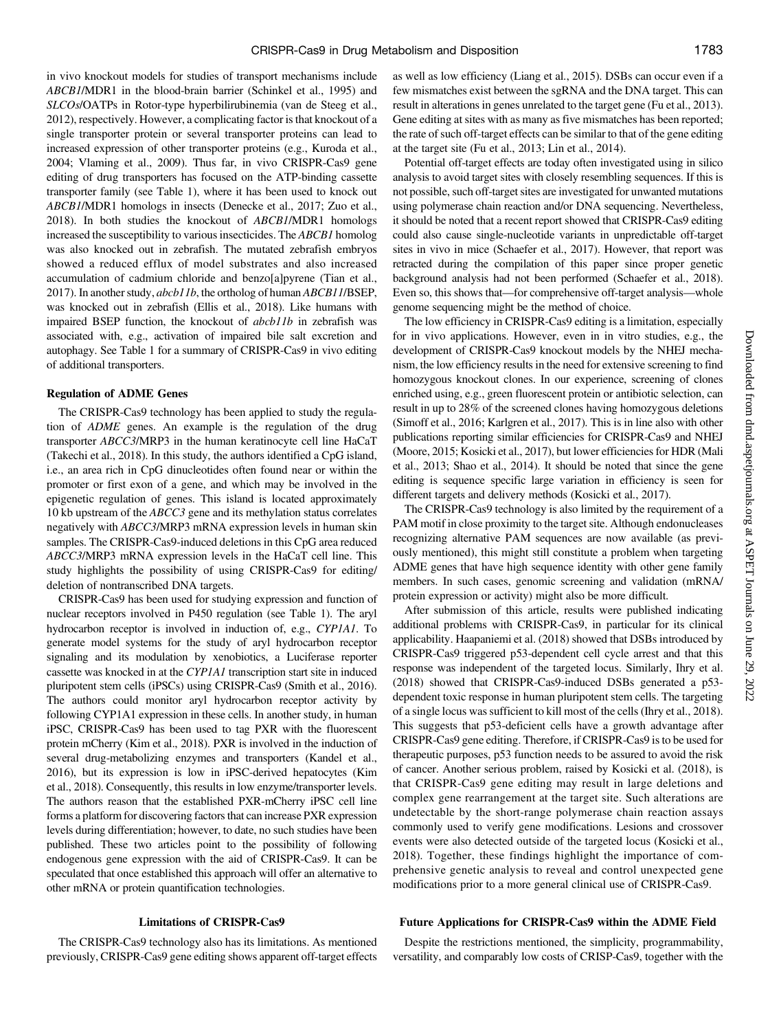in vivo knockout models for studies of transport mechanisms include ABCB1/MDR1 in the blood-brain barrier (Schinkel et al., 1995) and SLCOs/OATPs in Rotor-type hyperbilirubinemia (van de Steeg et al., 2012), respectively. However, a complicating factor is that knockout of a single transporter protein or several transporter proteins can lead to increased expression of other transporter proteins (e.g., Kuroda et al., 2004; Vlaming et al., 2009). Thus far, in vivo CRISPR-Cas9 gene editing of drug transporters has focused on the ATP-binding cassette transporter family (see Table 1), where it has been used to knock out ABCB1/MDR1 homologs in insects (Denecke et al., 2017; Zuo et al., 2018). In both studies the knockout of ABCB1/MDR1 homologs increased the susceptibility to various insecticides. The ABCB1 homolog was also knocked out in zebrafish. The mutated zebrafish embryos showed a reduced efflux of model substrates and also increased accumulation of cadmium chloride and benzo[a]pyrene (Tian et al., 2017). In another study, abcb11b, the ortholog of human ABCB11/BSEP, was knocked out in zebrafish (Ellis et al., 2018). Like humans with impaired BSEP function, the knockout of abcb11b in zebrafish was associated with, e.g., activation of impaired bile salt excretion and autophagy. See Table 1 for a summary of CRISPR-Cas9 in vivo editing of additional transporters.

#### Regulation of ADME Genes

The CRISPR-Cas9 technology has been applied to study the regulation of ADME genes. An example is the regulation of the drug transporter ABCC3/MRP3 in the human keratinocyte cell line HaCaT (Takechi et al., 2018). In this study, the authors identified a CpG island, i.e., an area rich in CpG dinucleotides often found near or within the promoter or first exon of a gene, and which may be involved in the epigenetic regulation of genes. This island is located approximately 10 kb upstream of the ABCC3 gene and its methylation status correlates negatively with ABCC3/MRP3 mRNA expression levels in human skin samples. The CRISPR-Cas9-induced deletions in this CpG area reduced ABCC3/MRP3 mRNA expression levels in the HaCaT cell line. This study highlights the possibility of using CRISPR-Cas9 for editing/ deletion of nontranscribed DNA targets.

CRISPR-Cas9 has been used for studying expression and function of nuclear receptors involved in P450 regulation (see Table 1). The aryl hydrocarbon receptor is involved in induction of, e.g., CYP1A1. To generate model systems for the study of aryl hydrocarbon receptor signaling and its modulation by xenobiotics, a Luciferase reporter cassette was knocked in at the CYP1A1 transcription start site in induced pluripotent stem cells (iPSCs) using CRISPR-Cas9 (Smith et al., 2016). The authors could monitor aryl hydrocarbon receptor activity by following CYP1A1 expression in these cells. In another study, in human iPSC, CRISPR-Cas9 has been used to tag PXR with the fluorescent protein mCherry (Kim et al., 2018). PXR is involved in the induction of several drug-metabolizing enzymes and transporters (Kandel et al., 2016), but its expression is low in iPSC-derived hepatocytes (Kim et al., 2018). Consequently, this results in low enzyme/transporter levels. The authors reason that the established PXR-mCherry iPSC cell line forms a platform for discovering factors that can increase PXR expression levels during differentiation; however, to date, no such studies have been published. These two articles point to the possibility of following endogenous gene expression with the aid of CRISPR-Cas9. It can be speculated that once established this approach will offer an alternative to other mRNA or protein quantification technologies.

## Limitations of CRISPR-Cas9

The CRISPR-Cas9 technology also has its limitations. As mentioned previously, CRISPR-Cas9 gene editing shows apparent off-target effects

as well as low efficiency (Liang et al., 2015). DSBs can occur even if a few mismatches exist between the sgRNA and the DNA target. This can result in alterations in genes unrelated to the target gene (Fu et al., 2013). Gene editing at sites with as many as five mismatches has been reported; the rate of such off-target effects can be similar to that of the gene editing at the target site (Fu et al., 2013; Lin et al., 2014).

Potential off-target effects are today often investigated using in silico analysis to avoid target sites with closely resembling sequences. If this is not possible, such off-target sites are investigated for unwanted mutations using polymerase chain reaction and/or DNA sequencing. Nevertheless, it should be noted that a recent report showed that CRISPR-Cas9 editing could also cause single-nucleotide variants in unpredictable off-target sites in vivo in mice (Schaefer et al., 2017). However, that report was retracted during the compilation of this paper since proper genetic background analysis had not been performed (Schaefer et al., 2018). Even so, this shows that—for comprehensive off-target analysis—whole genome sequencing might be the method of choice.

The low efficiency in CRISPR-Cas9 editing is a limitation, especially for in vivo applications. However, even in in vitro studies, e.g., the development of CRISPR-Cas9 knockout models by the NHEJ mechanism, the low efficiency results in the need for extensive screening to find homozygous knockout clones. In our experience, screening of clones enriched using, e.g., green fluorescent protein or antibiotic selection, can result in up to 28% of the screened clones having homozygous deletions (Simoff et al., 2016; Karlgren et al., 2017). This is in line also with other publications reporting similar efficiencies for CRISPR-Cas9 and NHEJ (Moore, 2015; Kosicki et al., 2017), but lower efficiencies for HDR (Mali et al., 2013; Shao et al., 2014). It should be noted that since the gene editing is sequence specific large variation in efficiency is seen for different targets and delivery methods (Kosicki et al., 2017).

The CRISPR-Cas9 technology is also limited by the requirement of a PAM motif in close proximity to the target site. Although endonucleases recognizing alternative PAM sequences are now available (as previously mentioned), this might still constitute a problem when targeting ADME genes that have high sequence identity with other gene family members. In such cases, genomic screening and validation (mRNA/ protein expression or activity) might also be more difficult.

After submission of this article, results were published indicating additional problems with CRISPR-Cas9, in particular for its clinical applicability. Haapaniemi et al. (2018) showed that DSBs introduced by CRISPR-Cas9 triggered p53-dependent cell cycle arrest and that this response was independent of the targeted locus. Similarly, Ihry et al. (2018) showed that CRISPR-Cas9-induced DSBs generated a p53 dependent toxic response in human pluripotent stem cells. The targeting of a single locus was sufficient to kill most of the cells (Ihry et al., 2018). This suggests that p53-deficient cells have a growth advantage after CRISPR-Cas9 gene editing. Therefore, if CRISPR-Cas9 is to be used for therapeutic purposes, p53 function needs to be assured to avoid the risk of cancer. Another serious problem, raised by Kosicki et al. (2018), is that CRISPR-Cas9 gene editing may result in large deletions and complex gene rearrangement at the target site. Such alterations are undetectable by the short-range polymerase chain reaction assays commonly used to verify gene modifications. Lesions and crossover events were also detected outside of the targeted locus (Kosicki et al., 2018). Together, these findings highlight the importance of comprehensive genetic analysis to reveal and control unexpected gene modifications prior to a more general clinical use of CRISPR-Cas9.

## Future Applications for CRISPR-Cas9 within the ADME Field

Despite the restrictions mentioned, the simplicity, programmability, versatility, and comparably low costs of CRISP-Cas9, together with the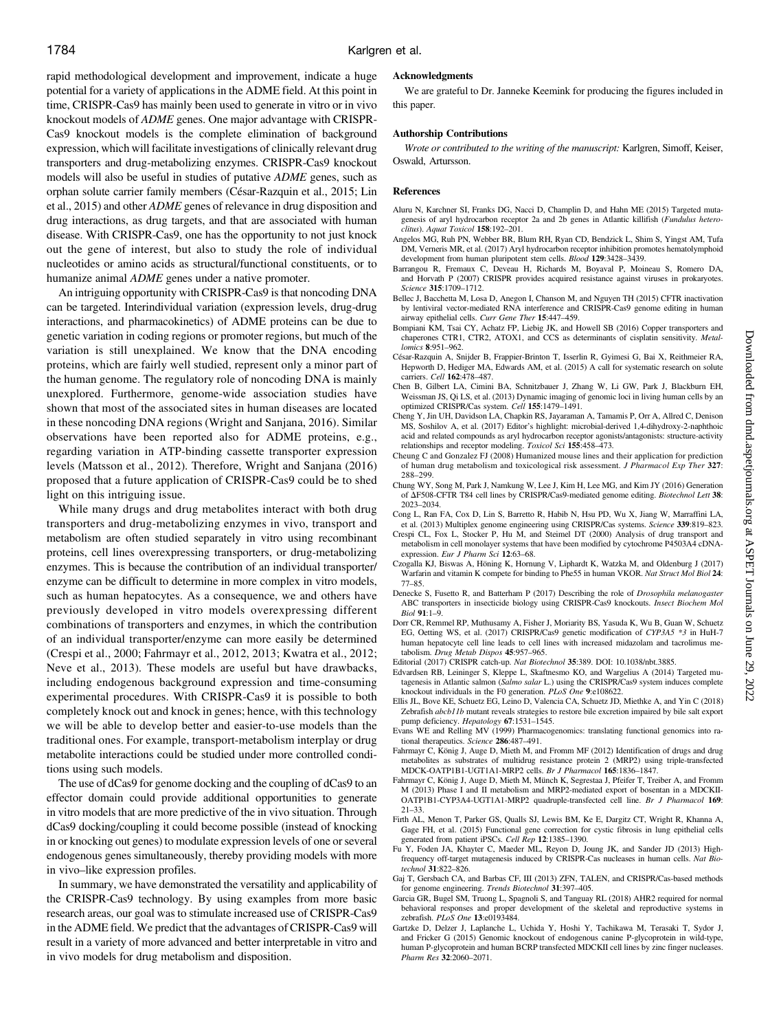rapid methodological development and improvement, indicate a huge potential for a variety of applications in the ADME field. At this point in time, CRISPR-Cas9 has mainly been used to generate in vitro or in vivo knockout models of ADME genes. One major advantage with CRISPR-Cas9 knockout models is the complete elimination of background expression, which will facilitate investigations of clinically relevant drug transporters and drug-metabolizing enzymes. CRISPR-Cas9 knockout models will also be useful in studies of putative ADME genes, such as orphan solute carrier family members (César-Razquin et al., 2015; Lin et al., 2015) and other ADME genes of relevance in drug disposition and drug interactions, as drug targets, and that are associated with human disease. With CRISPR-Cas9, one has the opportunity to not just knock out the gene of interest, but also to study the role of individual nucleotides or amino acids as structural/functional constituents, or to humanize animal ADME genes under a native promoter.

An intriguing opportunity with CRISPR-Cas9 is that noncoding DNA can be targeted. Interindividual variation (expression levels, drug-drug interactions, and pharmacokinetics) of ADME proteins can be due to genetic variation in coding regions or promoter regions, but much of the variation is still unexplained. We know that the DNA encoding proteins, which are fairly well studied, represent only a minor part of the human genome. The regulatory role of noncoding DNA is mainly unexplored. Furthermore, genome-wide association studies have shown that most of the associated sites in human diseases are located in these noncoding DNA regions (Wright and Sanjana, 2016). Similar observations have been reported also for ADME proteins, e.g., regarding variation in ATP-binding cassette transporter expression levels (Matsson et al., 2012). Therefore, Wright and Sanjana (2016) proposed that a future application of CRISPR-Cas9 could be to shed light on this intriguing issue.

While many drugs and drug metabolites interact with both drug transporters and drug-metabolizing enzymes in vivo, transport and metabolism are often studied separately in vitro using recombinant proteins, cell lines overexpressing transporters, or drug-metabolizing enzymes. This is because the contribution of an individual transporter/ enzyme can be difficult to determine in more complex in vitro models, such as human hepatocytes. As a consequence, we and others have previously developed in vitro models overexpressing different combinations of transporters and enzymes, in which the contribution of an individual transporter/enzyme can more easily be determined (Crespi et al., 2000; Fahrmayr et al., 2012, 2013; Kwatra et al., 2012; Neve et al., 2013). These models are useful but have drawbacks, including endogenous background expression and time-consuming experimental procedures. With CRISPR-Cas9 it is possible to both completely knock out and knock in genes; hence, with this technology we will be able to develop better and easier-to-use models than the traditional ones. For example, transport-metabolism interplay or drug metabolite interactions could be studied under more controlled conditions using such models.

The use of dCas9 for genome docking and the coupling of dCas9 to an effector domain could provide additional opportunities to generate in vitro models that are more predictive of the in vivo situation. Through dCas9 docking/coupling it could become possible (instead of knocking in or knocking out genes) to modulate expression levels of one or several endogenous genes simultaneously, thereby providing models with more in vivo–like expression profiles.

In summary, we have demonstrated the versatility and applicability of the CRISPR-Cas9 technology. By using examples from more basic research areas, our goal was to stimulate increased use of CRISPR-Cas9 in the ADME field. We predict that the advantages of CRISPR-Cas9 will result in a variety of more advanced and better interpretable in vitro and in vivo models for drug metabolism and disposition.

#### Acknowledgments

We are grateful to Dr. Janneke Keemink for producing the figures included in this paper.

#### Authorship Contributions

Wrote or contributed to the writing of the manuscript: Karlgren, Simoff, Keiser, Oswald, Artursson.

#### **References**

- Aluru N, Karchner SI, Franks DG, Nacci D, Champlin D, and Hahn ME (2015) Targeted mutagenesis of aryl hydrocarbon receptor 2a and 2b genes in Atlantic killifish (Fundulus heteroclitus). Aquat Toxicol 158:192–201.
- Angelos MG, Ruh PN, Webber BR, Blum RH, Ryan CD, Bendzick L, Shim S, Yingst AM, Tufa DM, Verneris MR, et al. (2017) Aryl hydrocarbon receptor inhibition promotes hematolymphoid development from human pluripotent stem cells. Blood 129:3428–3439.
- Barrangou R, Fremaux C, Deveau H, Richards M, Boyaval P, Moineau S, Romero DA, and Horvath P (2007) CRISPR provides acquired resistance against viruses in prokaryotes. Science 315:1709–1712.
- Bellec J, Bacchetta M, Losa D, Anegon I, Chanson M, and Nguyen TH (2015) CFTR inactivation by lentiviral vector-mediated RNA interference and CRISPR-Cas9 genome editing in human airway epithelial cells. Curr Gene Ther 15:447–459.
- Bompiani KM, Tsai CY, Achatz FP, Liebig JK, and Howell SB (2016) Copper transporters and chaperones CTR1, CTR2, ATOX1, and CCS as determinants of cisplatin sensitivity. Metallomics 8:951–962.
- César-Razquin A, Snijder B, Frappier-Brinton T, Isserlin R, Gyimesi G, Bai X, Reithmeier RA, Hepworth D, Hediger MA, Edwards AM, et al. (2015) A call for systematic research on solute carriers. Cell 162:478–487.
- Chen B, Gilbert LA, Cimini BA, Schnitzbauer J, Zhang W, Li GW, Park J, Blackburn EH, Weissman JS, Qi LS, et al. (2013) Dynamic imaging of genomic loci in living human cells by an<br>optimized CRISPR/Cas system. *Cell* 155:1479–1491.
- Cheng Y, Jin UH, Davidson LA, Chapkin RS, Jayaraman A, Tamamis P, Orr A, Allred C, Denison MS, Soshilov A, et al. (2017) Editor's highlight: microbial-derived 1,4-dihydroxy-2-naphthoic acid and related compounds as aryl hydrocarbon receptor agonists/antagonists: structure-activity relationships and receptor modeling. Toxicol Sci 155:458–473.
- Cheung C and Gonzalez FJ (2008) Humanized mouse lines and their application for prediction of human drug metabolism and toxicological risk assessment. J Pharmacol Exp Ther 327: 288–299.
- Chung WY, Song M, Park J, Namkung W, Lee J, Kim H, Lee MG, and Kim JY (2016) Generation of  $\overline{\Delta}$ F508-CFTR T84 cell lines by CRISPR/Cas9-mediated genome editing. Biotechnol Lett 38: 2023–2034.
- Cong L, Ran FA, Cox D, Lin S, Barretto R, Habib N, Hsu PD, Wu X, Jiang W, Marraffini LA, et al. (2013) Multiplex genome engineering using CRISPR/Cas systems. Science 339:819–823.
- Crespi CL, Fox L, Stocker P, Hu M, and Steimel DT (2000) Analysis of drug transport and metabolism in cell monolayer systems that have been modified by cytochrome P4503A4 cDNAexpression. Eur J Pharm Sci 12:63–68.
- Czogalla KJ, Biswas A, Höning K, Hornung V, Liphardt K, Watzka M, and Oldenburg J (2017) Warfarin and vitamin K compete for binding to Phe55 in human VKOR. Nat Struct Mol Biol 24: 77–85.
- Denecke S, Fusetto R, and Batterham P (2017) Describing the role of Drosophila melanogaster ABC transporters in insecticide biology using CRISPR-Cas9 knockouts. Insect Biochem Mol Biol 91:1–9.
- Dorr CR, Remmel RP, Muthusamy A, Fisher J, Moriarity BS, Yasuda K, Wu B, Guan W, Schuetz EG, Oetting WS, et al. (2017) CRISPR/Cas9 genetic modification of CYP3A5 \*3 in HuH-7 human hepatocyte cell line leads to cell lines with increased midazolam and tacrolimus metabolism. Drug Metab Dispos 45:957–965.

Editorial (2017) CRISPR catch-up. Nat Biotechnol 35:389. DOI: [10.1038/nbt.3885.](http://10.1038/nbt.3885)

- Edvardsen RB, Leininger S, Kleppe L, Skaftnesmo KO, and Wargelius A (2014) Targeted mutagenesis in Atlantic salmon (Salmo salar L.) using the CRISPR/Cas9 system induces complete knockout individuals in the F0 generation. PLoS One 9:e108622.
- Ellis JL, Bove KE, Schuetz EG, Leino D, Valencia CA, Schuetz JD, Miethke A, and Yin C (2018) Zebrafish abcb11b mutant reveals strategies to restore bile excretion impaired by bile salt export pump deficiency. Hepatology 67:1531-1545.
- Evans WE and Relling MV (1999) Pharmacogenomics: translating functional genomics into rational therapeutics. Science 286:487–491.
- Fahrmayr C, König J, Auge D, Mieth M, and Fromm MF (2012) Identification of drugs and drug metabolites as substrates of multidrug resistance protein 2 (MRP2) using triple-transfected MDCK-OATP1B1-UGT1A1-MRP2 cells. Br J Pharmacol 165:1836–1847.
- Fahrmayr C, König J, Auge D, Mieth M, Münch K, Segrestaa J, Pfeifer T, Treiber A, and Fromm M (2013) Phase I and II metabolism and MRP2-mediated export of bosentan in a MDCKII-OATP1B1-CYP3A4-UGT1A1-MRP2 quadruple-transfected cell line. Br J Pharmacol 169: 21–33.
- Firth AL, Menon T, Parker GS, Qualls SJ, Lewis BM, Ke E, Dargitz CT, Wright R, Khanna A, Gage FH, et al. (2015) Functional gene correction for cystic fibrosis in lung epithelial cells generated from patient iPSCs. Cell Rep 12:1385–1390.
- Fu Y, Foden JA, Khayter C, Maeder ML, Reyon D, Joung JK, and Sander JD (2013) Highfrequency off-target mutagenesis induced by CRISPR-Cas nucleases in human cells. Nat Biotechnol 31:822–826.
- Gaj T, Gersbach CA, and Barbas CF, III (2013) ZFN, TALEN, and CRISPR/Cas-based methods for genome engineering. Trends Biotechnol 31:397–405.
- Garcia GR, Bugel SM, Truong L, Spagnoli S, and Tanguay RL (2018) AHR2 required for normal behavioral responses and proper development of the skeletal and reproductive systems in zebrafish. PLoS One 13:e0193484.
- Gartzke D, Delzer J, Laplanche L, Uchida Y, Hoshi Y, Tachikawa M, Terasaki T, Sydor J, and Fricker G (2015) Genomic knockout of endogenous canine P-glycoprotein in wild-type, human P-glycoprotein and human BCRP transfected MDCKII cell lines by zinc finger nucleases. Pharm Res 32:2060–2071.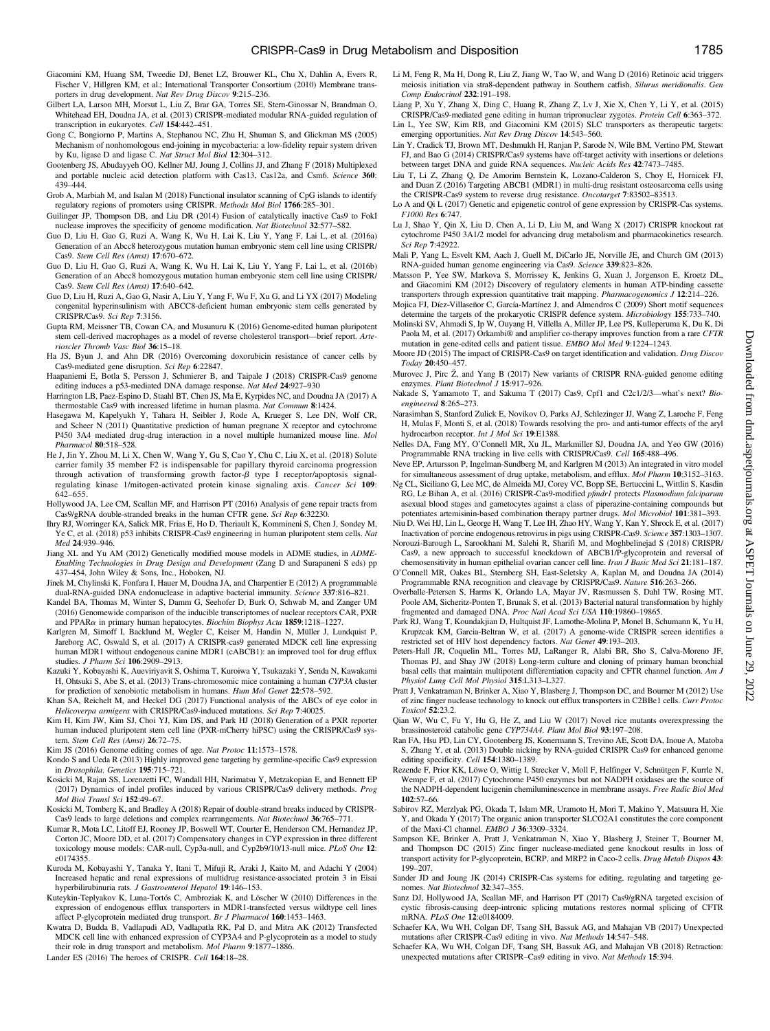- Giacomini KM, Huang SM, Tweedie DJ, Benet LZ, Brouwer KL, Chu X, Dahlin A, Evers R, Fischer V, Hillgren KM, et al.; International Transporter Consortium (2010) Membrane transporters in drug development. Nat Rev Drug Discov 9:215–236.
- Gilbert LA, Larson MH, Morsut L, Liu Z, Brar GA, Torres SE, Stern-Ginossar N, Brandman O, Whitehead EH, Doudna JA, et al. (2013) CRISPR-mediated modular RNA-guided regulation of transcription in eukaryotes. Cell 154:442–451.
- Gong C, Bongiorno P, Martins A, Stephanou NC, Zhu H, Shuman S, and Glickman MS (2005) Mechanism of nonhomologous end-joining in mycobacteria: a low-fidelity repair system driven by Ku, ligase D and ligase C. Nat Struct Mol Biol 12:304–312.
- Gootenberg JS, Abudayyeh OO, Kellner MJ, Joung J, Collins JJ, and Zhang F (2018) Multiplexed and portable nucleic acid detection platform with Cas13, Cas12a, and Csm6. Science 360: 439–444.
- Grob A, Marbiah M, and Isalan M (2018) Functional insulator scanning of CpG islands to identify regulatory regions of promoters using CRISPR. Methods Mol Biol 1766:285–301.
- Guilinger JP, Thompson DB, and Liu DR (2014) Fusion of catalytically inactive Cas9 to FokI nuclease improves the specificity of genome modification. Nat Biotechnol 32:577–582.
- Guo D, Liu H, Gao G, Ruzi A, Wang K, Wu H, Lai K, Liu Y, Yang F, Lai L, et al. (2016a) Generation of an Abcc8 heterozygous mutation human embryonic stem cell line using CRISPR/ Cas9. Stem Cell Res (Amst) 17:670–672.
- Guo D, Liu H, Gao G, Ruzi A, Wang K, Wu H, Lai K, Liu Y, Yang F, Lai L, et al. (2016b) Generation of an Abcc8 homozygous mutation human embryonic stem cell line using CRISPR/ Cas9. Stem Cell Res (Amst) 17:640–642.
- Guo D, Liu H, Ruzi A, Gao G, Nasir A, Liu Y, Yang F, Wu F, Xu G, and Li YX (2017) Modeling congenital hyperinsulinism with ABCC8-deficient human embryonic stem cells generated by CRISPR/Cas9. Sci Rep 7:3156.
- Gupta RM, Meissner TB, Cowan CA, and Musunuru K (2016) Genome-edited human pluripotent stem cell-derived macrophages as a model of reverse cholesterol transport—brief report. Arterioscler Thromb Vasc Biol 36:15–18.
- Ha JS, Byun J, and Ahn DR (2016) Overcoming doxorubicin resistance of cancer cells by Cas9-mediated gene disruption. Sci Rep 6:22847.
- Haapaniemi E, Botla S, Persson J, Schmierer B, and Taipale J (2018) CRISPR-Cas9 genome editing induces a p53-mediated DNA damage response. Nat Med 24:927–930
- Harrington LB, Paez-Espino D, Staahl BT, Chen JS, Ma E, Kyrpides NC, and Doudna JA (2017) A thermostable Cas9 with increased lifetime in human plasma. Nat Commun 8:1424.
- Hasegawa M, Kapelyukh Y, Tahara H, Seibler J, Rode A, Krueger S, Lee DN, Wolf CR, and Scheer N (2011) Quantitative prediction of human pregnane X receptor and cytochrome P450 3A4 mediated drug-drug interaction in a novel multiple humanized mouse line. Mol Pharmacol 80:518–528.
- He J, Jin Y, Zhou M, Li X, Chen W, Wang Y, Gu S, Cao Y, Chu C, Liu X, et al. (2018) Solute carrier family 35 member F2 is indispensable for papillary thyroid carcinoma progression through activation of transforming growth factor- $\beta$  type I receptor/apoptosis signal-regulating kinase 1/mitogen-activated protein kinase signaling axis. *Cancer Sci* 109: 642–655.
- Hollywood JA, Lee CM, Scallan MF, and Harrison PT (2016) Analysis of gene repair tracts from Cas9/gRNA double-stranded breaks in the human CFTR gene. Sci Rep 6:32230.
- Ihry RJ, Worringer KA, Salick MR, Frias E, Ho D, Theriault K, Kommineni S, Chen J, Sondey M, Ye C, et al. (2018) p53 inhibits CRISPR-Cas9 engineering in human pluripotent stem cells. Nat Med 24:939–946.
- Jiang XL and Yu AM (2012) Genetically modified mouse models in ADME studies, in ADME-Enabling Technologies in Drug Design and Development (Zang D and Surapaneni S eds) pp 437–454, John Wiley & Sons, Inc., Hoboken, NJ.
- Jinek M, Chylinski K, Fonfara I, Hauer M, Doudna JA, and Charpentier E (2012) A programmable dual-RNA-guided DNA endonuclease in adaptive bacterial immunity. Science 337:816–821.
- Kandel BA, Thomas M, Winter S, Damm G, Seehofer D, Burk O, Schwab M, and Zanger UM (2016) Genomewide comparison of the inducible transcriptomes of nuclear receptors CAR, PXR and PPAR $\alpha$  in primary human hepatocytes. Biochim Biophys Acta 1859:1218–1227.
- Karlgren M, Simoff I, Backlund M, Wegler C, Keiser M, Handin N, Müller J, Lundquist P, Jareborg AC, Oswald S, et al. (2017) A CRISPR-cas9 generated MDCK cell line expressing human MDR1 without endogenous canine MDR1 (cABCB1): an improved tool for drug efflux studies. J Pharm Sci 106:2909–2913.
- Kazuki Y, Kobayashi K, Aueviriyavit S, Oshima T, Kuroiwa Y, Tsukazaki Y, Senda N, Kawakami H, Ohtsuki S, Abe S, et al. (2013) Trans-chromosomic mice containing a human CYP3A cluster for prediction of xenobiotic metabolism in humans. Hum Mol Genet 22:578-592.
- Khan SA, Reichelt M, and Heckel DG (2017) Functional analysis of the ABCs of eye color in Helicoverpa armigera with CRISPR/Cas9-induced mutations. Sci Rep 7:40025.
- Kim H, Kim JW, Kim SJ, Choi YJ, Kim DS, and Park HJ (2018) Generation of a PXR reporter human induced pluripotent stem cell line (PXR-mCherry hiPSC) using the CRISPR/Cas9 system. Stem Cell Res (Amst) 26:72–75.
- Kim JS (2016) Genome editing comes of age. Nat Protoc 11:1573–1578.
- Kondo S and Ueda R (2013) Highly improved gene targeting by germline-specific Cas9 expression in Drosophila. Genetics 195:715–721.
- Kosicki M, Rajan SS, Lorenzetti FC, Wandall HH, Narimatsu Y, Metzakopian E, and Bennett EP (2017) Dynamics of indel profiles induced by various CRISPR/Cas9 delivery methods. Prog Mol Biol Transl Sci 152:49–67.
- Kosicki M, Tomberg K, and Bradley A (2018) Repair of double-strand breaks induced by CRISPR-Cas9 leads to large deletions and complex rearrangements. Nat Biotechnol 36:765–771.
- Kumar R, Mota LC, Litoff EJ, Rooney JP, Boswell WT, Courter E, Henderson CM, Hernandez JP, Corton JC, Moore DD, et al. (2017) Compensatory changes in CYP expression in three different toxicology mouse models: CAR-null, Cyp3a-null, and Cyp2b9/10/13-null mice. PLoS One 12: e0174355.
- Kuroda M, Kobayashi Y, Tanaka Y, Itani T, Mifuji R, Araki J, Kaito M, and Adachi Y (2004) Increased hepatic and renal expressions of multidrug resistance-associated protein 3 in Eisai hyperbilirubinuria rats. J Gastroenterol Hepatol 19:146-153.
- Kuteykin-Teplyakov K, Luna-Tortós C, Ambroziak K, and Löscher W (2010) Differences in the expression of endogenous efflux transporters in MDR1-transfected versus wildtype cell lines affect P-glycoprotein mediated drug transport. Br J Pharmacol 160:1453–1463.
- Kwatra D, Budda B, Vadlapudi AD, Vadlapatla RK, Pal D, and Mitra AK (2012) Transfected MDCK cell line with enhanced expression of CYP3A4 and P-glycoprotein as a model to study their role in drug transport and metabolism. Mol Pharm 9:1877–1886.
- Lander ES (2016) The heroes of CRISPR. Cell 164:18–28.
- Li M, Feng R, Ma H, Dong R, Liu Z, Jiang W, Tao W, and Wang D (2016) Retinoic acid triggers meiosis initiation via stra8-dependent pathway in Southern catfish, Silurus meridionalis. Gen Comp Endocrinol 232:191–198.
- Liang P, Xu Y, Zhang X, Ding C, Huang R, Zhang Z, Lv J, Xie X, Chen Y, Li Y, et al. (2015) CRISPR/Cas9-mediated gene editing in human tripronuclear zygotes. Protein Cell 6:363–372.
- Lin L, Yee SW, Kim RB, and Giacomini KM (2015) SLC transporters as therapeutic targets: emerging opportunities. Nat Rev Drug Discov 14:543-560.
- Lin Y, Cradick TJ, Brown MT, Deshmukh H, Ranjan P, Sarode N, Wile BM, Vertino PM, Stewart FJ, and Bao G (2014) CRISPR/Cas9 systems have off-target activity with insertions or deletions between target DNA and guide RNA sequences. Nucleic Acids Res 42:7473–7485.
- Liu T, Li Z, Zhang Q, De Amorim Bernstein K, Lozano-Calderon S, Choy E, Hornicek FJ, and Duan Z (2016) Targeting ABCB1 (MDR1) in multi-drug resistant osteosarcoma cells using
- the CRISPR-Cas9 system to reverse drug resistance. Oncotarget 7:83502–83513. Lo A and Qi L (2017) Genetic and epigenetic control of gene expression by CRISPR-Cas systems. F1000 Res 6:747.
- Lu J, Shao Y, Qin X, Liu D, Chen A, Li D, Liu M, and Wang X (2017) CRISPR knockout rat cytochrome P450 3A1/2 model for advancing drug metabolism and pharmacokinetics research. Sci Rep 7:42922.
- Mali P, Yang L, Esvelt KM, Aach J, Guell M, DiCarlo JE, Norville JE, and Church GM (2013) RNA-guided human genome engineering via Cas9. Science 339:823–826.
- Matsson P, Yee SW, Markova S, Morrissey K, Jenkins G, Xuan J, Jorgenson E, Kroetz DL, and Giacomini KM (2012) Discovery of regulatory elements in human ATP-binding cassette transporters through expression quantitative trait mapping. Pharmacogenomics J 12:214–226.
- Mojica FJ, Díez-Villaseñor C, García-Martínez J, and Almendros C (2009) Short motif sequences determine the targets of the prokaryotic CRISPR defence system. Microbiology 155:733–740.
- Molinski SV, Ahmadi S, Ip W, Ouyang H, Villella A, Miller JP, Lee PS, Kulleperuma K, Du K, Di Paola M, et al. (2017) Orkambi® and amplifier co-therapy improves function from a rare CFTR mutation in gene-edited cells and patient tissue. EMBO Mol Med 9:1224–1243.
- Moore JD (2015) The impact of CRISPR-Cas9 on target identification and validation. Drug Discov Today 20:450–457.
- Murovec J, Pirc Ž, and Yang B (2017) New variants of CRISPR RNA-guided genome editing enzymes. Plant Biotechnol J 15:917-926.
- Nakade S, Yamamoto T, and Sakuma T (2017) Cas9, Cpf1 and C2c1/2/3—what's next? Bioengineered 8:265–273.
- Narasimhan S, Stanford Zulick E, Novikov O, Parks AJ, Schlezinger JJ, Wang Z, Laroche F, Feng H, Mulas F, Monti S, et al. (2018) Towards resolving the pro- and anti-tumor effects of the aryl hydrocarbon receptor. *Int J Mol Sci* 19:E1388.
- Nelles DA, Fang MY, O'Connell MR, Xu JL, Markmiller SJ, Doudna JA, and Yeo GW (2016) Programmable RNA tracking in live cells with CRISPR/Cas9. Cell 165:488–496.
- Neve EP, Artursson P, Ingelman-Sundberg M, and Karlgren M (2013) An integrated in vitro model for simultaneous assessment of drug uptake, metabolism, and efflux. Mol Pharm 10:3152–3163.
- Ng CL, Siciliano G, Lee MC, de Almeida MJ, Corey VC, Bopp SE, Bertuccini L, Wittlin S, Kasdin RG, Le Bihan A, et al. (2016) CRISPR-Cas9-modified pfmdr1 protects Plasmodium falciparum asexual blood stages and gametocytes against a class of piperazine-containing compounds but potentiates artemisinin-based combination therapy partner drugs. Mol Microbiol 101:381–393.
- Niu D, Wei HJ, Lin L, George H, Wang T, Lee IH, Zhao HY, Wang Y, Kan Y, Shrock E, et al. (2017) Inactivation of porcine endogenous retrovirus in pigs using CRISPR-Cas9. Science 357:1303–1307.
- Norouzi-Barough L, Sarookhani M, Salehi R, Sharifi M, and Moghbelinejad S (2018) CRISPR/ Cas9, a new approach to successful knockdown of ABCB1/P-glycoprotein and reversal of chemosensitivity in human epithelial ovarian cancer cell line. Iran J Basic Med Sci 21:181–187.
- O'Connell MR, Oakes BL, Sternberg SH, East-Seletsky A, Kaplan M, and Doudna JA (2014) Programmable RNA recognition and cleavage by CRISPR/Cas9. Nature 516:263–266.
- Overballe-Petersen S, Harms K, Orlando LA, Mayar JV, Rasmussen S, Dahl TW, Rosing MT, Poole AM, Sicheritz-Ponten T, Brunak S, et al. (2013) Bacterial natural transformation by highly fragmented and damaged DNA. Proc Natl Acad Sci USA 110:19860-19865.
- Park RJ, Wang T, Koundakjian D, Hultquist JF, Lamothe-Molina P, Monel B, Schumann K, Yu H, Krupzcak KM, Garcia-Beltran W, et al. (2017) A genome-wide CRISPR screen identifies a restricted set of HIV host dependency factors. Nat Genet 49:193–203.
- Peters-Hall JR, Coquelin ML, Torres MJ, LaRanger R, Alabi BR, Sho S, Calva-Moreno JF, Thomas PJ, and Shay JW (2018) Long-term culture and cloning of primary human bronchial basal cells that maintain multipotent differentiation capacity and CFTR channel function. Am J Physiol Lung Cell Mol Physiol 315:L313–L327.
- Pratt J, Venkatraman N, Brinker A, Xiao Y, Blasberg J, Thompson DC, and Bourner M (2012) Use of zinc finger nuclease technology to knock out efflux transporters in C2BBe1 cells. Curr Protoc Toxicol 52:23.2.
- Qian W, Wu C, Fu Y, Hu G, He Z, and Liu W (2017) Novel rice mutants overexpressing the brassinosteroid catabolic gene CYP734A4. Plant Mol Biol 93:197–208.
- Ran FA, Hsu PD, Lin CY, Gootenberg JS, Konermann S, Trevino AE, Scott DA, Inoue A, Matoba S, Zhang Y, et al. (2013) Double nicking by RNA-guided CRISPR Cas9 for enhanced genome editing specificity. Cell 154:1380-1389.
- Rezende F, Prior KK, Löwe O, Wittig I, Strecker V, Moll F, Helfinger V, Schnütgen F, Kurrle N, Wempe F, et al. (2017) Cytochrome P450 enzymes but not NADPH oxidases are the source of the NADPH-dependent lucigenin chemiluminescence in membrane assays. Free Radic Biol Med 102:57–66.
- Sabirov RZ, Merzlyak PG, Okada T, Islam MR, Uramoto H, Mori T, Makino Y, Matsuura H, Xie Y, and Okada Y (2017) The organic anion transporter SLCO2A1 constitutes the core component of the Maxi-Cl channel.  $EMBO$  J 36:3309-3324.
- Sampson KE, Brinker A, Pratt J, Venkatraman N, Xiao Y, Blasberg J, Steiner T, Bourner M, and Thompson DC (2015) Zinc finger nuclease-mediated gene knockout results in loss of transport activity for P-glycoprotein, BCRP, and MRP2 in Caco-2 cells. Drug Metab Dispos 43: 199–207.
- Sander JD and Joung JK (2014) CRISPR-Cas systems for editing, regulating and targeting genomes. Nat Biotechnol 32:347–355.
- Sanz DJ, Hollywood JA, Scallan MF, and Harrison PT (2017) Cas9/gRNA targeted excision of cystic fibrosis-causing deep-intronic splicing mutations restores normal splicing of CFTR mRNA. PLoS One 12:e0184009.
- Schaefer KA, Wu WH, Colgan DF, Tsang SH, Bassuk AG, and Mahajan VB (2017) Unexpected mutations after CRISPR-Cas9 editing in vivo. Nat Methods 14:547–548.
- Schaefer KA, Wu WH, Colgan DF, Tsang SH, Bassuk AG, and Mahajan VB (2018) Retraction: unexpected mutations after CRISPR–Cas9 editing in vivo. Nat Methods 15:394.